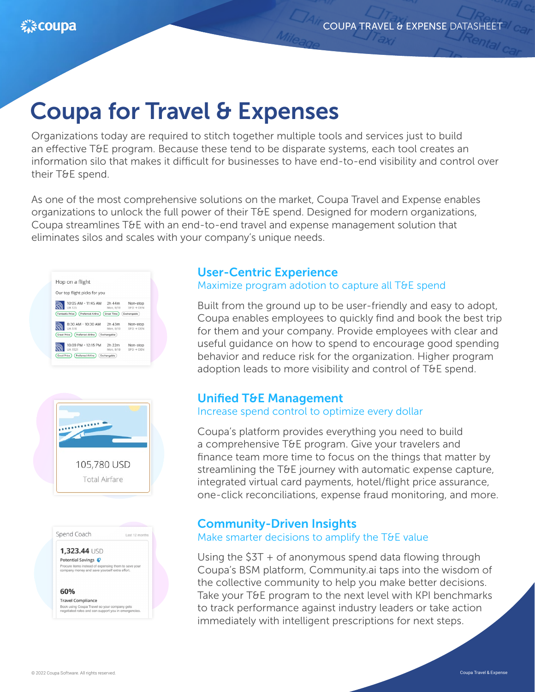# Coupa for Travel & Expenses

Organizations today are required to stitch together multiple tools and services just to build an effective T&E program. Because these tend to be disparate systems, each tool creates an information silo that makes it difficult for businesses to have end-to-end visibility and control over their T&E spend.

As one of the most comprehensive solutions on the market, Coupa Travel and Expense enables organizations to unlock the full power of their T&E spend. Designed for modern organizations, Coupa streamlines T&E with an end-to-end travel and expense management solution that eliminates silos and scales with your company's unique needs.







### 1,323.44 USD

Potential Savings Procure items instead of expensing them to save your<br>company money and save yourself extra effort.

### 60%

**Travel Compliance** bok using Coupa Travel so your company gets<br>gotiated rates and can support you in emerge

### User-Centric Experience

Maximize program adotion to capture all T&E spend

Built from the ground up to be user-friendly and easy to adopt, Coupa enables employees to quickly find and book the best trip for them and your company. Provide employees with clear and useful guidance on how to spend to encourage good spending behavior and reduce risk for the organization. Higher program adoption leads to more visibility and control of T&E spend.

## Unified T&E Management

### Increase spend control to optimize every dollar

Coupa's platform provides everything you need to build a comprehensive T&E program. Give your travelers and finance team more time to focus on the things that matter by streamlining the T&E journey with automatic expense capture, integrated virtual card payments, hotel/flight price assurance, one-click reconciliations, expense fraud monitoring, and more.

### Community-Driven Insights

### Make smarter decisions to amplify the T&E value

Using the \$3T + of anonymous spend data flowing through Coupa's BSM platform, Community.ai taps into the wisdom of the collective community to help you make better decisions. Take your T&E program to the next level with KPI benchmarks to track performance against industry leaders or take action immediately with intelligent prescriptions for next steps.